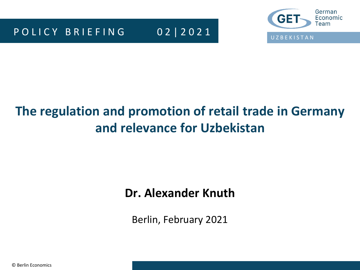

# **The regulation and promotion of retail trade in Germany and relevance for Uzbekistan**

### **Dr. Alexander Knuth**

Berlin, February 2021

© Berlin Economics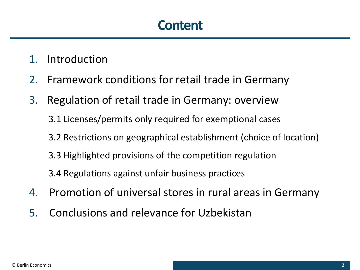### **Content**

- 1. Introduction
- 2. Framework conditions for retail trade in Germany
- 3. Regulation of retail trade in Germany: overview
	- 3.1 Licenses/permits only required for exemptional cases
	- 3.2 Restrictions on geographical establishment (choice of location)
	- 3.3 Highlighted provisions of the competition regulation
	- 3.4 Regulations against unfair business practices
- 4. Promotion of universal stores in rural areas in Germany
- 5. Conclusions and relevance for Uzbekistan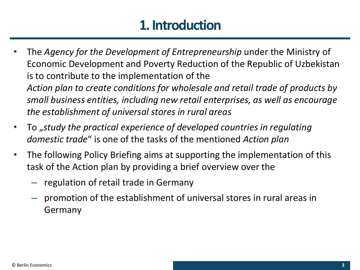# **1. Introduction**

- The *Agency for the Development of Entrepreneurship* under the Ministry of Economic Development and Poverty Reduction of the Republic of Uzbekistan is to contribute to the implementation of the *Action plan to create conditions for wholesale and retail trade of products by small business entities, including new retail enterprises, as well as encourage the establishment of universal stores in rural areas*
- To "*study the practical experience of developed countries in regulating domestic trade*" is one of the tasks of the mentioned *Action plan*
- The following Policy Briefing aims at supporting the implementation of this task of the Action plan by providing a brief overview over the
	- regulation of retail trade in Germany
	- promotion of the establishment of universal stores in rural areas in Germany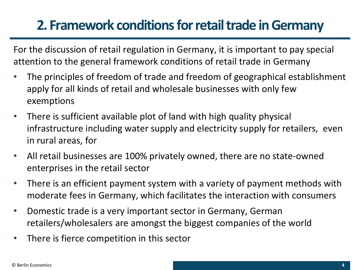# **2. Framework conditions for retail trade in Germany**

For the discussion of retail regulation in Germany, it is important to pay special attention to the general framework conditions of retail trade in Germany

- The principles of freedom of trade and freedom of geographical establishment apply for all kinds of retail and wholesale businesses with only few exemptions
- There is sufficient available plot of land with high quality physical infrastructure including water supply and electricity supply for retailers, even in rural areas, for
- All retail businesses are 100% privately owned, there are no state-owned enterprises in the retail sector
- There is an efficient payment system with a variety of payment methods with moderate fees in Germany, which facilitates the interaction with consumers
- Domestic trade is a very important sector in Germany, German retailers/wholesalers are amongst the biggest companies of the world
- There is fierce competition in this sector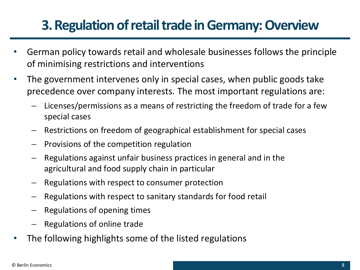# **3. Regulation of retail trade in Germany: Overview**

- German policy towards retail and wholesale businesses follows the principle of minimising restrictions and interventions
- The government intervenes only in special cases, when public goods take precedence over company interests. The most important regulations are:
	- Licenses/permissions as a means of restricting the freedom of trade for a few special cases
	- Restrictions on freedom of geographical establishment for special cases
	- Provisions of the competition regulation
	- Regulations against unfair business practices in general and in the agricultural and food supply chain in particular
	- Regulations with respect to consumer protection
	- Regulations with respect to sanitary standards for food retail
	- Regulations of opening times
	- Regulations of online trade
- The following highlights some of the listed regulations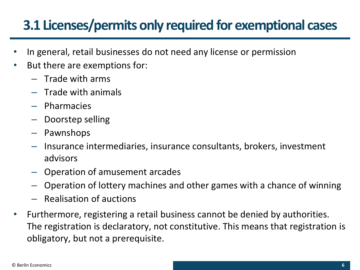# **3.1 Licenses/permits only required for exemptional cases**

- In general, retail businesses do not need any license or permission
- But there are exemptions for:
	- Trade with arms
	- Trade with animals
	- Pharmacies
	- Doorstep selling
	- Pawnshops
	- Insurance intermediaries, insurance consultants, brokers, investment advisors
	- Operation of amusement arcades
	- Operation of lottery machines and other games with a chance of winning
	- Realisation of auctions
- Furthermore, registering a retail business cannot be denied by authorities. The registration is declaratory, not constitutive. This means that registration is obligatory, but not a prerequisite.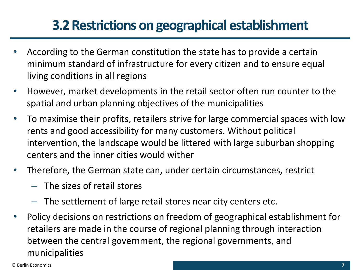### **3.2 Restrictions on geographical establishment**

- According to the German constitution the state has to provide a certain minimum standard of infrastructure for every citizen and to ensure equal living conditions in all regions
- However, market developments in the retail sector often run counter to the spatial and urban planning objectives of the municipalities
- To maximise their profits, retailers strive for large commercial spaces with low rents and good accessibility for many customers. Without political intervention, the landscape would be littered with large suburban shopping centers and the inner cities would wither
- Therefore, the German state can, under certain circumstances, restrict
	- The sizes of retail stores
	- The settlement of large retail stores near city centers etc.
- Policy decisions on restrictions on freedom of geographical establishment for retailers are made in the course of regional planning through interaction between the central government, the regional governments, and municipalities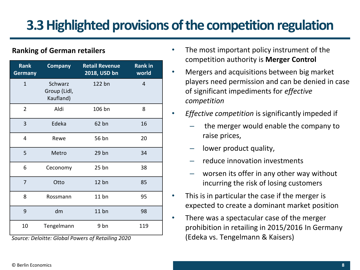# **3.3 Highlighted provisions of the competition regulation**

### **Ranking of German retailers**

| <b>Rank</b><br><b>Germany</b> | <b>Company</b>                       | <b>Retail Revenue</b><br>2018, USD bn | <b>Rank in</b><br>world |
|-------------------------------|--------------------------------------|---------------------------------------|-------------------------|
| $\overline{1}$                | Schwarz<br>Group (Lidl,<br>Kaufland) | 122 bn                                | $\overline{4}$          |
| $\overline{2}$                | Aldi                                 | 106 bn                                | 8                       |
| 3                             | Edeka                                | 62 bn                                 | 16                      |
| 4                             | Rewe                                 | 56 bn                                 | 20                      |
| 5                             | Metro                                | 29 bn                                 | 34                      |
| 6                             | Ceconomy                             | $25$ bn                               | 38                      |
| $\overline{7}$                | Otto                                 | 12bn                                  | 85                      |
| 8                             | Rossmann                             | 11bn                                  | 95                      |
| 9                             | dm                                   | $11$ bn                               | 98                      |
| 10                            | Tengelmann                           | 9 bn                                  | 119                     |

*Source: Deloitte: Global Powers of Retailing 2020* 

- The most important policy instrument of the competition authority is **Merger Control**
- Mergers and acquisitions between big market players need permission and can be denied in case of significant impediments for *effective competition*
- *Effective competition* is significantly impeded if
	- the merger would enable the company to raise prices,
	- lower product quality,
	- reduce innovation investments
	- worsen its offer in any other way without incurring the risk of losing customers
	- This is in particular the case if the merger is expected to create a dominant market position
- There was a spectacular case of the merger prohibition in retailing in 2015/2016 In Germany (Edeka vs. Tengelmann & Kaisers)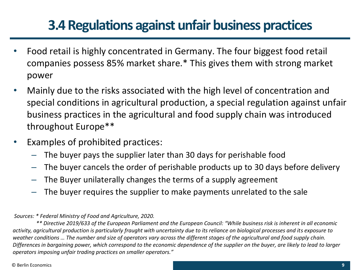### **3.4 Regulations against unfair business practices**

- Food retail is highly concentrated in Germany. The four biggest food retail companies possess 85% market share.\* This gives them with strong market power
- Mainly due to the risks associated with the high level of concentration and special conditions in agricultural production, a special regulation against unfair business practices in the agricultural and food supply chain was introduced throughout Europe\*\*
- Examples of prohibited practices:
	- The buyer pays the supplier later than 30 days for perishable food
	- The buyer cancels the order of perishable products up to 30 days before delivery
	- The Buyer unilaterally changes the terms of a supply agreement
	- The buyer requires the supplier to make payments unrelated to the sale

*Sources: \* Federal Ministry of Food and Agriculture, 2020.*

*\*\* Directive 2019/633 of the European Parliament and the European Council: "While business risk is inherent in all economic activity, agricultural production is particularly fraught with uncertainty due to its reliance on biological processes and its exposure to weather conditions … The number and size of operators vary across the different stages of the agricultural and food supply chain. Differences in bargaining power, which correspond to the economic dependence of the supplier on the buyer, are likely to lead to larger operators imposing unfair trading practices on smaller operators."*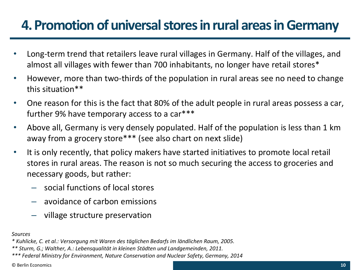### **4. Promotion of universal stores in rural areas in Germany**

- Long-term trend that retailers leave rural villages in Germany. Half of the villages, and almost all villages with fewer than 700 inhabitants, no longer have retail stores\*
- However, more than two-thirds of the population in rural areas see no need to change this situation\*\*
- One reason for this is the fact that 80% of the adult people in rural areas possess a car, further 9% have temporary access to a car\*\*\*
- Above all, Germany is very densely populated. Half of the population is less than 1 km away from a grocery store\*\*\* (see also chart on next slide)
- It is only recently, that policy makers have started initiatives to promote local retail stores in rural areas. The reason is not so much securing the access to groceries and necessary goods, but rather:
	- social functions of local stores
	- avoidance of carbon emissions
	- village structure preservation

#### *Sources*

- *\* Kuhlicke, C. et al.: Versorgung mit Waren des täglichen Bedarfs im ländlichen Raum, 2005.*
- *\*\* Sturm, G.; Walther, A.: Lebensqualität in kleinen Städten und Landgemeinden, 2011.*
- *\*\*\* Federal Ministry for Environment, Nature Conservation and Nuclear Safety, Germany, 2014*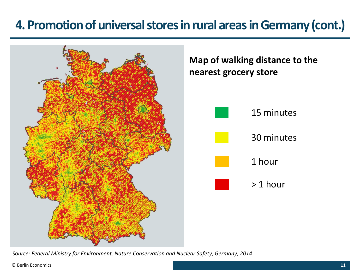### 4. Promotion of universal stores in rural areas in Germany (cont.)

Quelle: Neumeier 2014: 53.



**Map of walking distance to the nearest grocery store**

30 minutes

15 minutes





*Source: Federal Ministry for Environment, Nature Conservation and Nuclear Safety, Germany, 2014*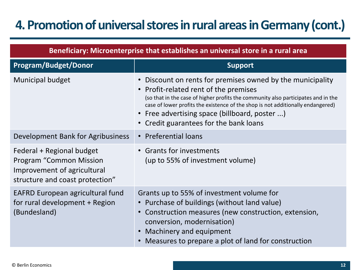### **4. Promotion of universal stores in rural areas in Germany (cont.)**

| Beneficiary: Microenterprise that establishes an universal store in a rural area                                       |                                                                                                                                                                                                                                                                                                                                                                                              |  |  |
|------------------------------------------------------------------------------------------------------------------------|----------------------------------------------------------------------------------------------------------------------------------------------------------------------------------------------------------------------------------------------------------------------------------------------------------------------------------------------------------------------------------------------|--|--|
| <b>Program/Budget/Donor</b>                                                                                            | <b>Support</b>                                                                                                                                                                                                                                                                                                                                                                               |  |  |
| <b>Municipal budget</b>                                                                                                | Discount on rents for premises owned by the municipality<br>$\bullet$<br>Profit-related rent of the premises<br>$\bullet$<br>(so that in the case of higher profits the community also participates and in the<br>case of lower profits the existence of the shop is not additionally endangered)<br>• Free advertising space (billboard, poster )<br>• Credit guarantees for the bank loans |  |  |
| Development Bank for Agribusiness                                                                                      | • Preferential loans                                                                                                                                                                                                                                                                                                                                                                         |  |  |
| Federal + Regional budget<br>Program "Common Mission<br>Improvement of agricultural<br>structure and coast protection" | • Grants for investments<br>(up to 55% of investment volume)                                                                                                                                                                                                                                                                                                                                 |  |  |
| EAFRD European agricultural fund<br>for rural development + Region<br>(Bundesland)                                     | Grants up to 55% of investment volume for<br>• Purchase of buildings (without land value)<br>• Construction measures (new construction, extension,<br>conversion, modernisation)<br>Machinery and equipment<br>$\bullet$<br>Measures to prepare a plot of land for construction                                                                                                              |  |  |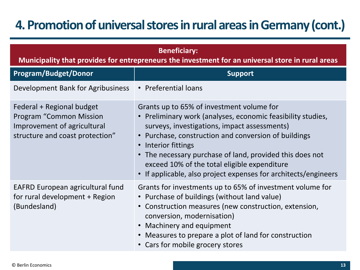### **4. Promotion of universal stores in rural areas in Germany (cont.)**

| <b>Beneficiary:</b><br>Municipality that provides for entrepreneurs the investment for an universal store in rural areas      |                                                                                                                                                                                                                                                                                                                                                                                                                  |  |  |
|-------------------------------------------------------------------------------------------------------------------------------|------------------------------------------------------------------------------------------------------------------------------------------------------------------------------------------------------------------------------------------------------------------------------------------------------------------------------------------------------------------------------------------------------------------|--|--|
| <b>Program/Budget/Donor</b>                                                                                                   | <b>Support</b>                                                                                                                                                                                                                                                                                                                                                                                                   |  |  |
| Development Bank for Agribusiness                                                                                             | • Preferential loans                                                                                                                                                                                                                                                                                                                                                                                             |  |  |
| Federal + Regional budget<br><b>Program "Common Mission</b><br>Improvement of agricultural<br>structure and coast protection" | Grants up to 65% of investment volume for<br>• Preliminary work (analyses, economic feasibility studies,<br>surveys, investigations, impact assessments)<br>Purchase, construction and conversion of buildings<br>Interior fittings<br>• The necessary purchase of land, provided this does not<br>exceed 10% of the total eligible expenditure<br>If applicable, also project expenses for architects/engineers |  |  |
| <b>EAFRD European agricultural fund</b><br>for rural development + Region<br>(Bundesland)                                     | Grants for investments up to 65% of investment volume for<br>• Purchase of buildings (without land value)<br>• Construction measures (new construction, extension,<br>conversion, modernisation)<br>• Machinery and equipment<br>• Measures to prepare a plot of land for construction<br>• Cars for mobile grocery stores                                                                                       |  |  |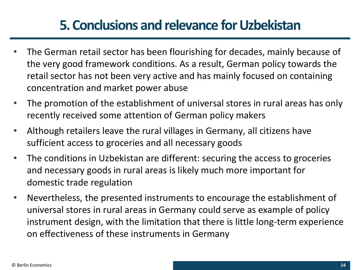### **5. Conclusions and relevance for Uzbekistan**

- The German retail sector has been flourishing for decades, mainly because of the very good framework conditions. As a result, German policy towards the retail sector has not been very active and has mainly focused on containing concentration and market power abuse
- The promotion of the establishment of universal stores in rural areas has only recently received some attention of German policy makers
- Although retailers leave the rural villages in Germany, all citizens have sufficient access to groceries and all necessary goods
- The conditions in Uzbekistan are different: securing the access to groceries and necessary goods in rural areas is likely much more important for domestic trade regulation
- Nevertheless, the presented instruments to encourage the establishment of universal stores in rural areas in Germany could serve as example of policy instrument design, with the limitation that there is little long-term experience on effectiveness of these instruments in Germany